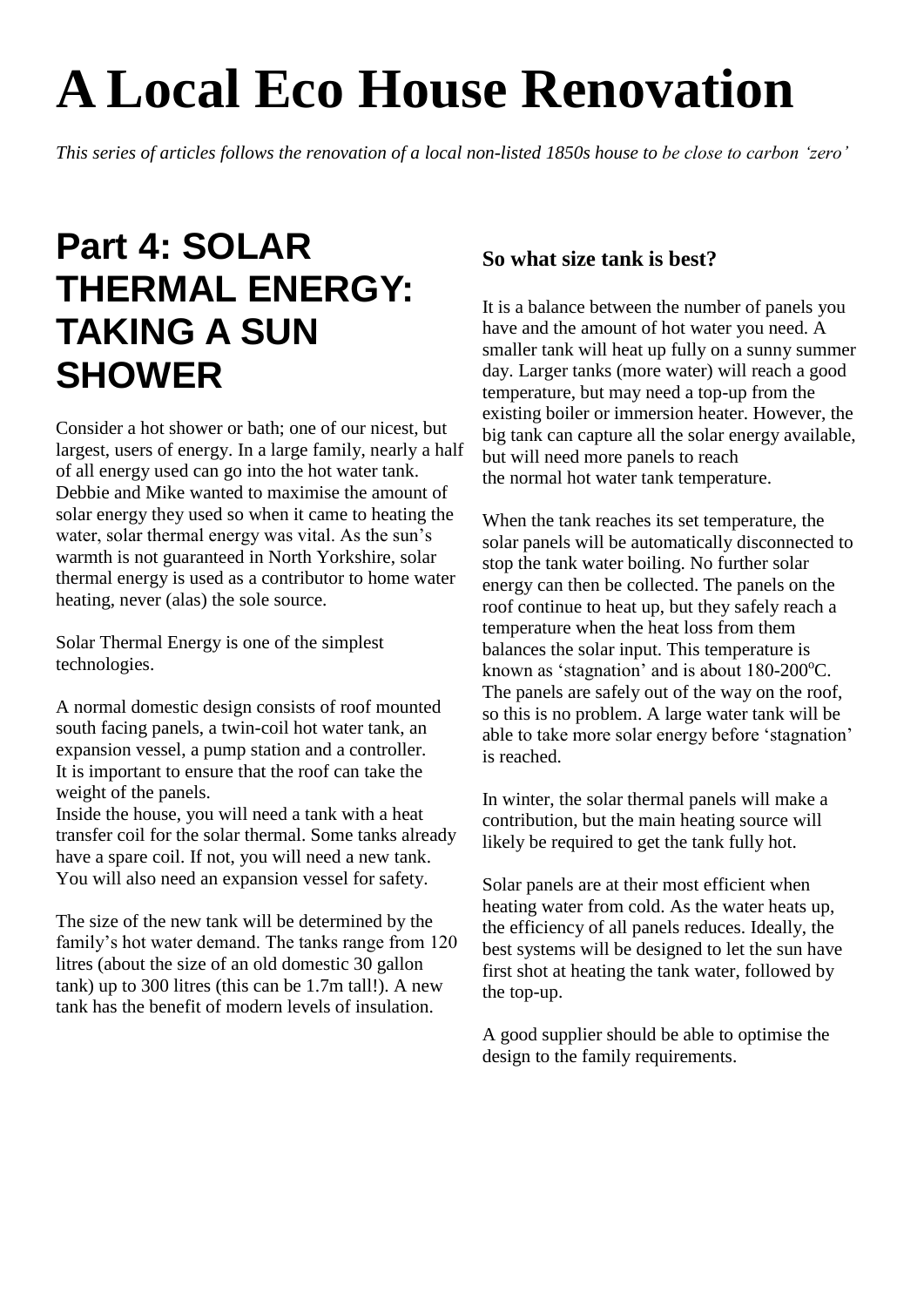## **A Local Eco House Renovation**

*This series of articles follows the renovation of a local non-listed 1850s house to be close to carbon 'zero'*

## **Part 4: SOLAR THERMAL ENERGY: TAKING A SUN SHOWER**

Consider a hot shower or bath; one of our nicest, but largest, users of energy. In a large family, nearly a half of all energy used can go into the hot water tank. Debbie and Mike wanted to maximise the amount of solar energy they used so when it came to heating the water, solar thermal energy was vital. As the sun's warmth is not guaranteed in North Yorkshire, solar thermal energy is used as a contributor to home water heating, never (alas) the sole source.

Solar Thermal Energy is one of the simplest technologies.

A normal domestic design consists of roof mounted south facing panels, a twin-coil hot water tank, an expansion vessel, a pump station and a controller. It is important to ensure that the roof can take the weight of the panels.

Inside the house, you will need a tank with a heat transfer coil for the solar thermal. Some tanks already have a spare coil. If not, you will need a new tank. You will also need an expansion vessel for safety.

The size of the new tank will be determined by the family's hot water demand. The tanks range from 120 litres (about the size of an old domestic 30 gallon tank) up to 300 litres (this can be 1.7m tall!). A new tank has the benefit of modern levels of insulation.

## **So what size tank is best?**

It is a balance between the number of panels you have and the amount of hot water you need. A smaller tank will heat up fully on a sunny summer day. Larger tanks (more water) will reach a good temperature, but may need a top-up from the existing boiler or immersion heater. However, the big tank can capture all the solar energy available, but will need more panels to reach the normal hot water tank temperature.

When the tank reaches its set temperature, the solar panels will be automatically disconnected to stop the tank water boiling. No further solar energy can then be collected. The panels on the roof continue to heat up, but they safely reach a temperature when the heat loss from them balances the solar input. This temperature is known as 'stagnation' and is about  $180-200^{\circ}$ C. The panels are safely out of the way on the roof, so this is no problem. A large water tank will be able to take more solar energy before 'stagnation' is reached.

In winter, the solar thermal panels will make a contribution, but the main heating source will likely be required to get the tank fully hot.

Solar panels are at their most efficient when heating water from cold. As the water heats up, the efficiency of all panels reduces. Ideally, the best systems will be designed to let the sun have first shot at heating the tank water, followed by the top-up.

A good supplier should be able to optimise the design to the family requirements.